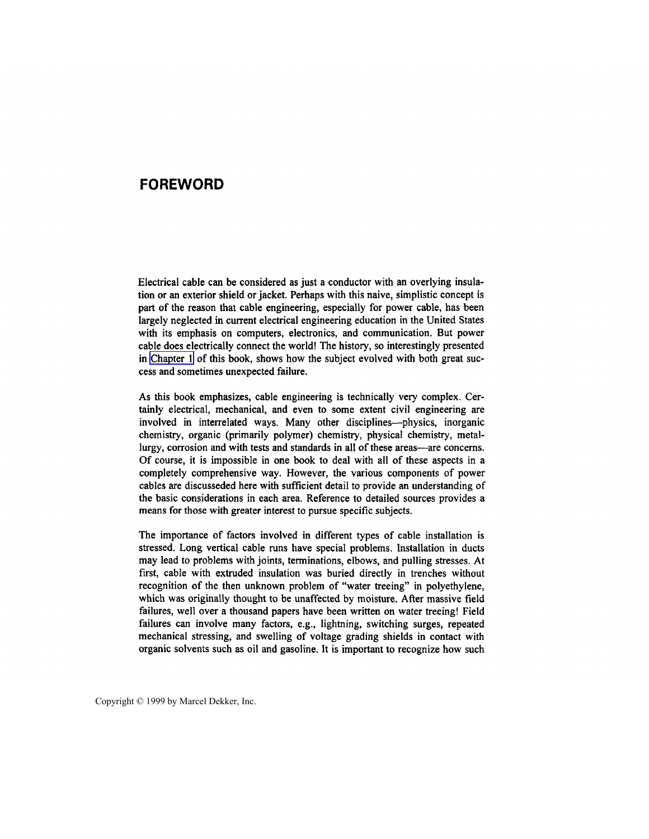## **FOREWORD**

Electrical cable can be considered as just a conductor with an overlying insulation or an exterior shield or jacket. Perhaps with this naive, simplistic concept is part of the reason that cable engineering, especially for power cable, has been largely neglected in current electrical engineering education in the United States with its emphasis on computers, electronics, and communication. But power cable does electrically connect the world! The history, so interestingly presented in Chapter 1 of this book, shows how the subject evolved with both great success and sometimes unexpected failure.

**As** this book emphasizes, cable engineering is technically very complex. Certainly electrical, mechanical, and even to some extent civil engineering are involved in interrelated ways. Many other disciplines-physics, inorganic chemistry, organic (primarily polymer) chemistry, physical chemistry, metallurgy, corrosion and with tests and standards in all of these areas—are concerns. Of course, it is impossible in one book to deal with all of these aspects in a completely comprehensive way. However, the various components of power cables are discusseded here with sufficient detail to provide an understanding *of*  the basic considerations in each area. Reference to detailed sources provides a means for those with greater interest to pursue specific subjects.

The importance of factors involved in different types of cable installation is stressed. Long vertical cable runs have special problems. Installation in ducts may lead *to* problems with joints, terminations, elbows, and pulling stresses. At first, cable with extruded insulation was buried directly in trenches without recognition of the then unknown problem of "water treeing" in polyethylene, which was originally thought to be unaffected by moisture. After massive field failures, well over a thousand papers have been written on water treeing! Field failures can involve many factors, eg, lightning, switching surges, repeated mechanical stressing, and swelling of voltage grading shields in contact with organic solvents such as oil and gasoline. It is important to recognize how such